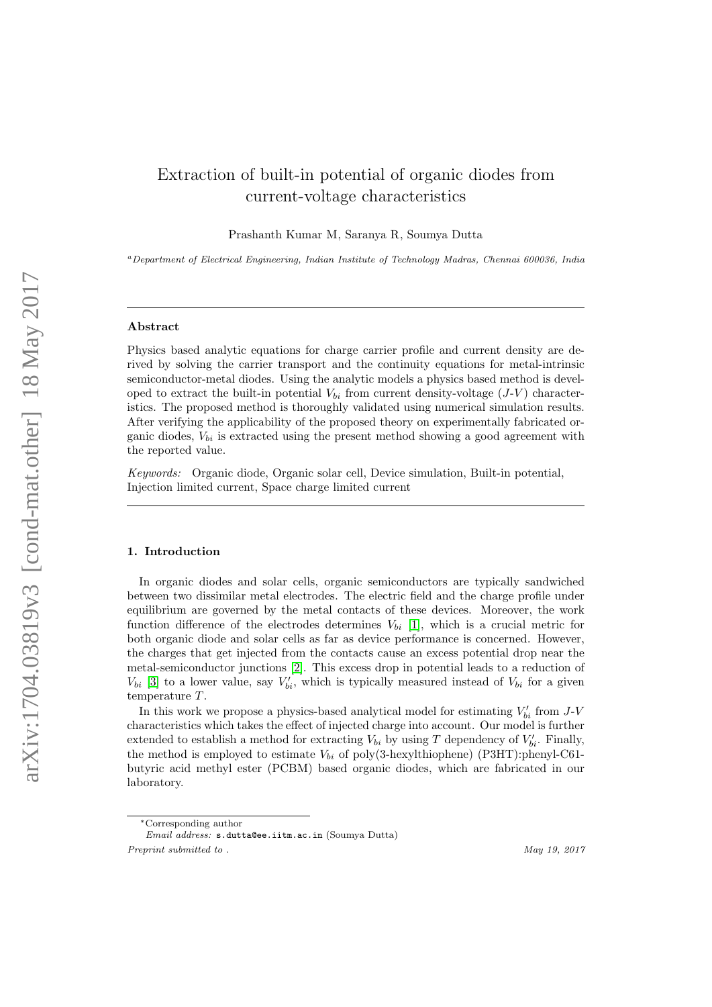# Extraction of built-in potential of organic diodes from current-voltage characteristics

Prashanth Kumar M, Saranya R, Soumya Dutta

<sup>a</sup>Department of Electrical Engineering, Indian Institute of Technology Madras, Chennai 600036, India

# Abstract

Physics based analytic equations for charge carrier profile and current density are derived by solving the carrier transport and the continuity equations for metal-intrinsic semiconductor-metal diodes. Using the analytic models a physics based method is developed to extract the built-in potential  $V_{bi}$  from current density-voltage  $(J-V)$  characteristics. The proposed method is thoroughly validated using numerical simulation results. After verifying the applicability of the proposed theory on experimentally fabricated organic diodes,  $V_{bi}$  is extracted using the present method showing a good agreement with the reported value.

Keywords: Organic diode, Organic solar cell, Device simulation, Built-in potential, Injection limited current, Space charge limited current

#### 1. Introduction

In organic diodes and solar cells, organic semiconductors are typically sandwiched between two dissimilar metal electrodes. The electric field and the charge profile under equilibrium are governed by the metal contacts of these devices. Moreover, the work function difference of the electrodes determines  $V_{bi}$  [\[1\]](#page-14-0), which is a crucial metric for both organic diode and solar cells as far as device performance is concerned. However, the charges that get injected from the contacts cause an excess potential drop near the metal-semiconductor junctions [\[2\]](#page-14-1). This excess drop in potential leads to a reduction of  $V_{bi}$  [\[3\]](#page-14-2) to a lower value, say  $V'_{bi}$ , which is typically measured instead of  $V_{bi}$  for a given temperature T.

In this work we propose a physics-based analytical model for estimating  $V'_{bi}$  from  $J$ -V characteristics which takes the effect of injected charge into account. Our model is further extended to establish a method for extracting  $V_{bi}$  by using T dependency of  $V'_{bi}$ . Finally, the method is employed to estimate  $V_{bi}$  of poly(3-hexylthiophene) (P3HT):phenyl-C61butyric acid methyl ester (PCBM) based organic diodes, which are fabricated in our laboratory.

<sup>∗</sup>Corresponding author

Email address: s.dutta@ee.iitm.ac.in (Soumya Dutta) Preprint submitted to .  $May\ 19, 2017$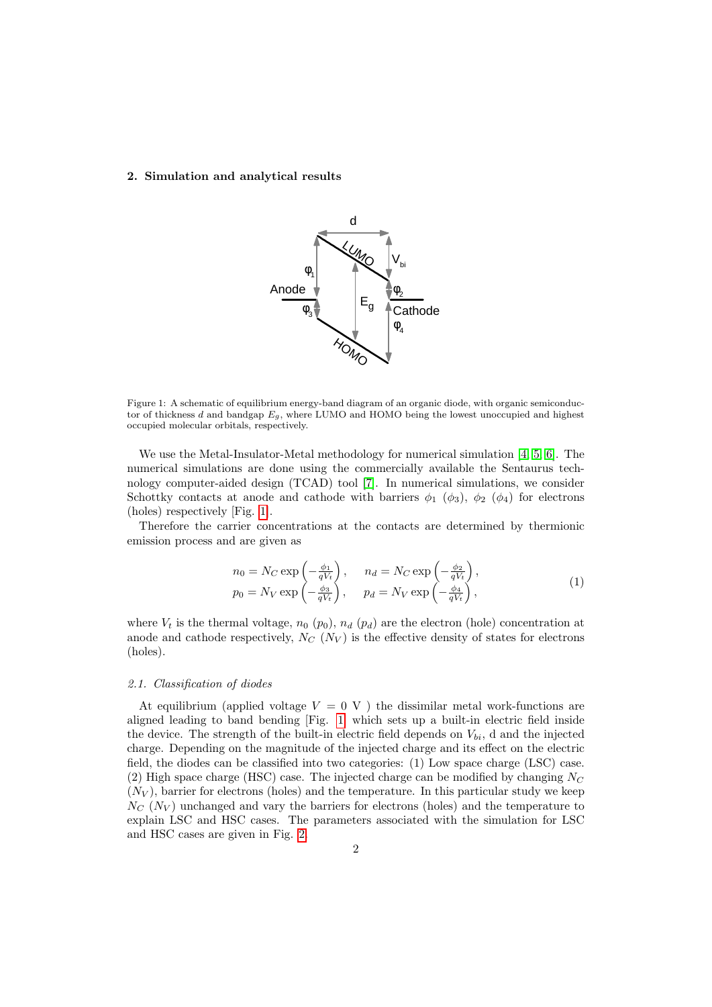### 2. Simulation and analytical results



<span id="page-1-0"></span>Figure 1: A schematic of equilibrium energy-band diagram of an organic diode, with organic semiconductor of thickness d and bandgap  $E_q$ , where LUMO and HOMO being the lowest unoccupied and highest occupied molecular orbitals, respectively.

We use the Metal-Insulator-Metal methodology for numerical simulation [\[4,](#page-14-3) [5,](#page-14-4) [6\]](#page-14-5). The numerical simulations are done using the commercially available the Sentaurus technology computer-aided design (TCAD) tool [\[7\]](#page-14-6). In numerical simulations, we consider Schottky contacts at anode and cathode with barriers  $\phi_1$  ( $\phi_3$ ),  $\phi_2$  ( $\phi_4$ ) for electrons (holes) respectively [Fig. [1\]](#page-1-0).

Therefore the carrier concentrations at the contacts are determined by thermionic emission process and are given as

<span id="page-1-1"></span>
$$
n_0 = N_C \exp\left(-\frac{\phi_1}{qV_t}\right), \quad n_d = N_C \exp\left(-\frac{\phi_2}{qV_t}\right),
$$
  
\n
$$
p_0 = N_V \exp\left(-\frac{\phi_3}{qV_t}\right), \quad p_d = N_V \exp\left(-\frac{\phi_4}{qV_t}\right),
$$
\n(1)

where  $V_t$  is the thermal voltage,  $n_0$  ( $p_0$ ),  $n_d$  ( $p_d$ ) are the electron (hole) concentration at anode and cathode respectively,  $N_C$  ( $N_V$ ) is the effective density of states for electrons (holes).

#### 2.1. Classification of diodes

At equilibrium (applied voltage  $V = 0$  V ) the dissimilar metal work-functions are aligned leading to band bending [Fig. [1\]](#page-1-0) which sets up a built-in electric field inside the device. The strength of the built-in electric field depends on  $V_{bi}$ , d and the injected charge. Depending on the magnitude of the injected charge and its effect on the electric field, the diodes can be classified into two categories: (1) Low space charge (LSC) case. (2) High space charge (HSC) case. The injected charge can be modified by changing  $N_C$  $(N_V)$ , barrier for electrons (holes) and the temperature. In this particular study we keep  $N_c$  ( $N_V$ ) unchanged and vary the barriers for electrons (holes) and the temperature to explain LSC and HSC cases. The parameters associated with the simulation for LSC and HSC cases are given in Fig. [2.](#page-2-0)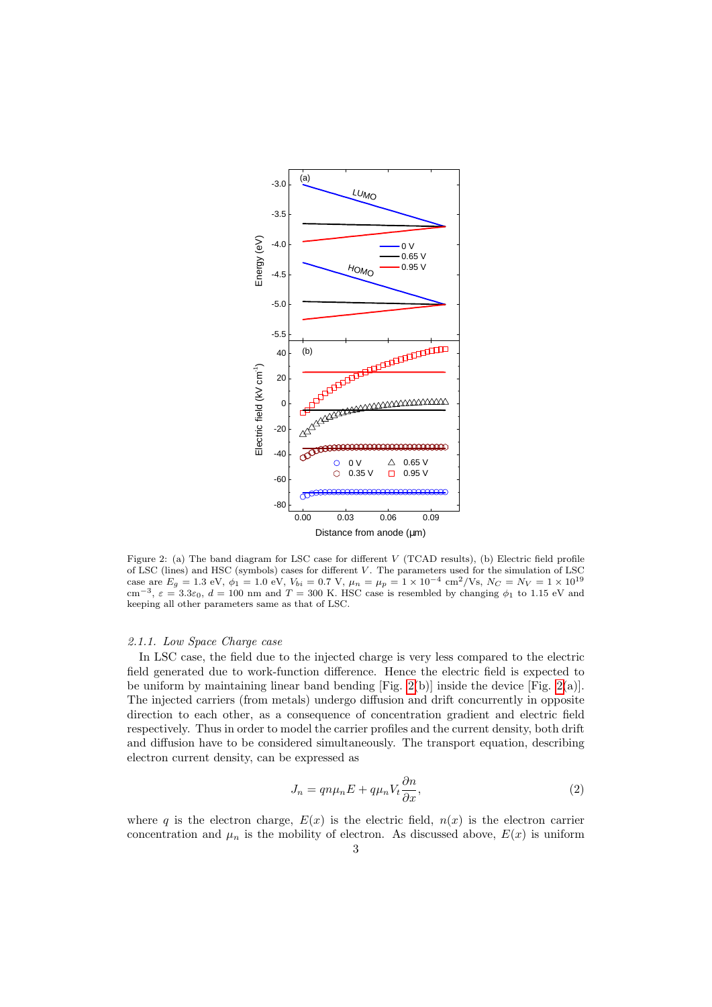

<span id="page-2-0"></span>Figure 2: (a) The band diagram for LSC case for different V (TCAD results), (b) Electric field profile of LSC (lines) and HSC (symbols) cases for different V . The parameters used for the simulation of LSC case are  $E_g = 1.3$  eV,  $\phi_1 = 1.0$  eV,  $V_{bi} = 0.7$  V,  $\mu_n = \mu_p = 1 \times 10^{-4}$  cm<sup>2</sup>/Vs,  $N_C = N_V = 1 \times 10^{19}$ cm<sup>-3</sup>,  $\varepsilon = 3.3\varepsilon_0$ ,  $d = 100$  nm and T = 300 K. HSC case is resembled by changing  $\phi_1$  to 1.15 eV and keeping all other parameters same as that of LSC.

# 2.1.1. Low Space Charge case

In LSC case, the field due to the injected charge is very less compared to the electric field generated due to work-function difference. Hence the electric field is expected to be uniform by maintaining linear band bending [Fig. [2\(](#page-2-0)b)] inside the device [Fig. [2\(](#page-2-0)a)]. The injected carriers (from metals) undergo diffusion and drift concurrently in opposite direction to each other, as a consequence of concentration gradient and electric field respectively. Thus in order to model the carrier profiles and the current density, both drift and diffusion have to be considered simultaneously. The transport equation, describing electron current density, can be expressed as

<span id="page-2-1"></span>
$$
J_n = qn\mu_n E + q\mu_n V_t \frac{\partial n}{\partial x},\tag{2}
$$

where q is the electron charge,  $E(x)$  is the electric field,  $n(x)$  is the electron carrier concentration and  $\mu_n$  is the mobility of electron. As discussed above,  $E(x)$  is uniform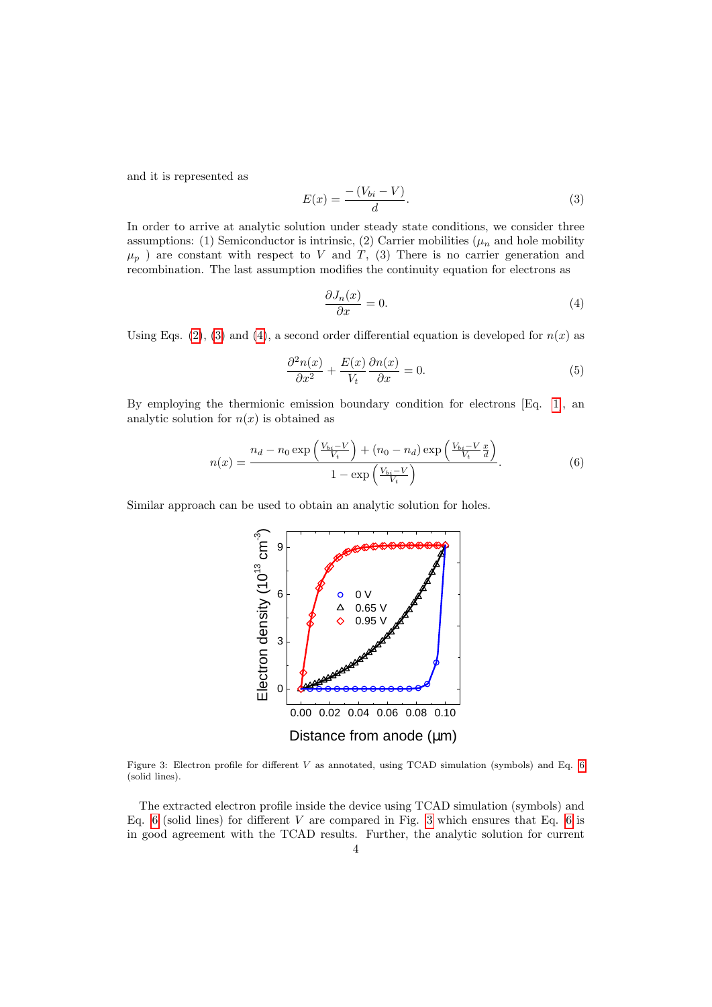and it is represented as

<span id="page-3-0"></span>
$$
E(x) = \frac{-\left(V_{bi} - V\right)}{d}.\tag{3}
$$

In order to arrive at analytic solution under steady state conditions, we consider three assumptions: (1) Semiconductor is intrinsic, (2) Carrier mobilities ( $\mu_n$  and hole mobility  $\mu_p$ ) are constant with respect to V and T, (3) There is no carrier generation and recombination. The last assumption modifies the continuity equation for electrons as

<span id="page-3-1"></span>
$$
\frac{\partial J_n(x)}{\partial x} = 0.
$$
\n(4)

Using Eqs. [\(2\)](#page-2-1), [\(3\)](#page-3-0) and [\(4\)](#page-3-1), a second order differential equation is developed for  $n(x)$  as

$$
\frac{\partial^2 n(x)}{\partial x^2} + \frac{E(x)}{V_t} \frac{\partial n(x)}{\partial x} = 0.
$$
 (5)

By employing the thermionic emission boundary condition for electrons [Eq. [1\]](#page-1-1), an analytic solution for  $n(x)$  is obtained as

<span id="page-3-2"></span>
$$
n(x) = \frac{n_d - n_0 \exp\left(\frac{V_{bi} - V}{V_t}\right) + (n_0 - n_d) \exp\left(\frac{V_{bi} - V}{V_t} \frac{x}{d}\right)}{1 - \exp\left(\frac{V_{bi} - V}{V_t}\right)}.
$$
(6)

Similar approach can be used to obtain an analytic solution for holes.



<span id="page-3-3"></span>Figure 3: Electron profile for different V as annotated, using TCAD simulation (symbols) and Eq. [6](#page-3-2) (solid lines).

The extracted electron profile inside the device using TCAD simulation (symbols) and Eq. [6](#page-3-2) (solid lines) for different V are compared in Fig. [3](#page-3-3) which ensures that Eq. 6 is in good agreement with the TCAD results. Further, the analytic solution for current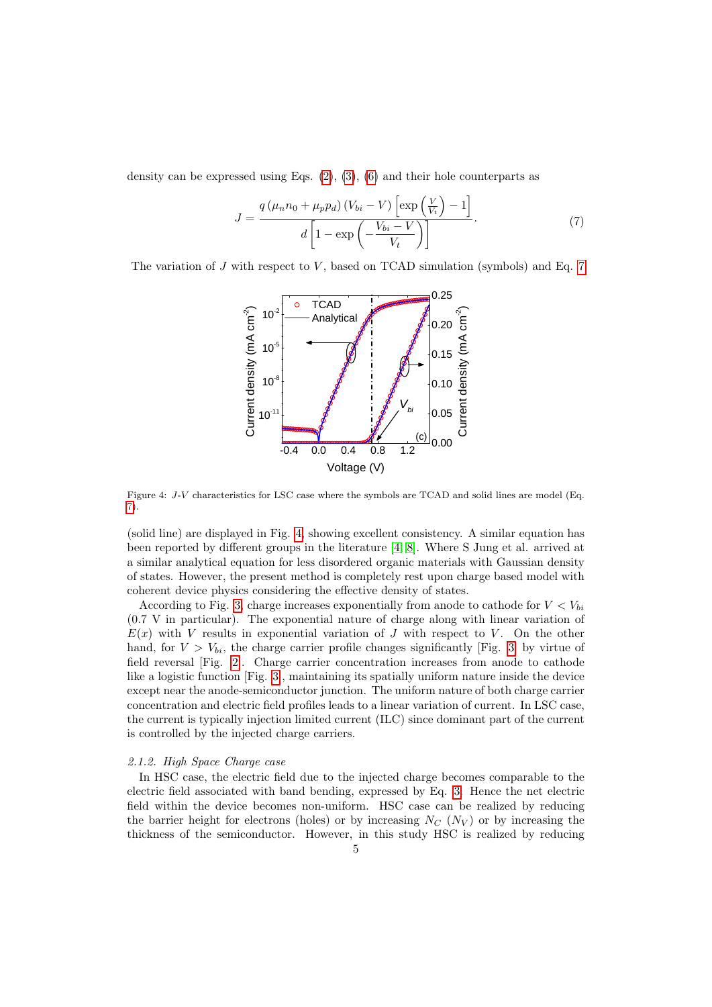density can be expressed using Eqs.  $(2)$ ,  $(3)$ ,  $(6)$  and their hole counterparts as

<span id="page-4-0"></span>
$$
J = \frac{q\left(\mu_n n_0 + \mu_p p_d\right) \left(V_{bi} - V\right) \left[\exp\left(\frac{V}{V_t}\right) - 1\right]}{d\left[1 - \exp\left(-\frac{V_{bi} - V}{V_t}\right)\right]}.\tag{7}
$$

The variation of  $J$  with respect to  $V$ , based on TCAD simulation (symbols) and Eq. [7](#page-4-0)



<span id="page-4-1"></span>Figure 4: J-V characteristics for LSC case where the symbols are TCAD and solid lines are model (Eq. [7\)](#page-4-0).

(solid line) are displayed in Fig. [4,](#page-4-1) showing excellent consistency. A similar equation has been reported by different groups in the literature [\[4,](#page-14-3) [8\]](#page-14-7). Where S Jung et al. arrived at a similar analytical equation for less disordered organic materials with Gaussian density of states. However, the present method is completely rest upon charge based model with coherent device physics considering the effective density of states.

According to Fig. [3,](#page-3-3) charge increases exponentially from anode to cathode for  $V < V_{bi}$ (0.7 V in particular). The exponential nature of charge along with linear variation of  $E(x)$  with V results in exponential variation of J with respect to V. On the other hand, for  $V > V_{bi}$ , the charge carrier profile changes significantly [Fig. [3\]](#page-3-3) by virtue of field reversal [Fig. [2\]](#page-2-0). Charge carrier concentration increases from anode to cathode like a logistic function [Fig. [3\]](#page-3-3), maintaining its spatially uniform nature inside the device except near the anode-semiconductor junction. The uniform nature of both charge carrier concentration and electric field profiles leads to a linear variation of current. In LSC case, the current is typically injection limited current (ILC) since dominant part of the current is controlled by the injected charge carriers.

#### 2.1.2. High Space Charge case

In HSC case, the electric field due to the injected charge becomes comparable to the electric field associated with band bending, expressed by Eq. [3.](#page-3-0) Hence the net electric field within the device becomes non-uniform. HSC case can be realized by reducing the barrier height for electrons (holes) or by increasing  $N_C$  ( $N_V$ ) or by increasing the thickness of the semiconductor. However, in this study HSC is realized by reducing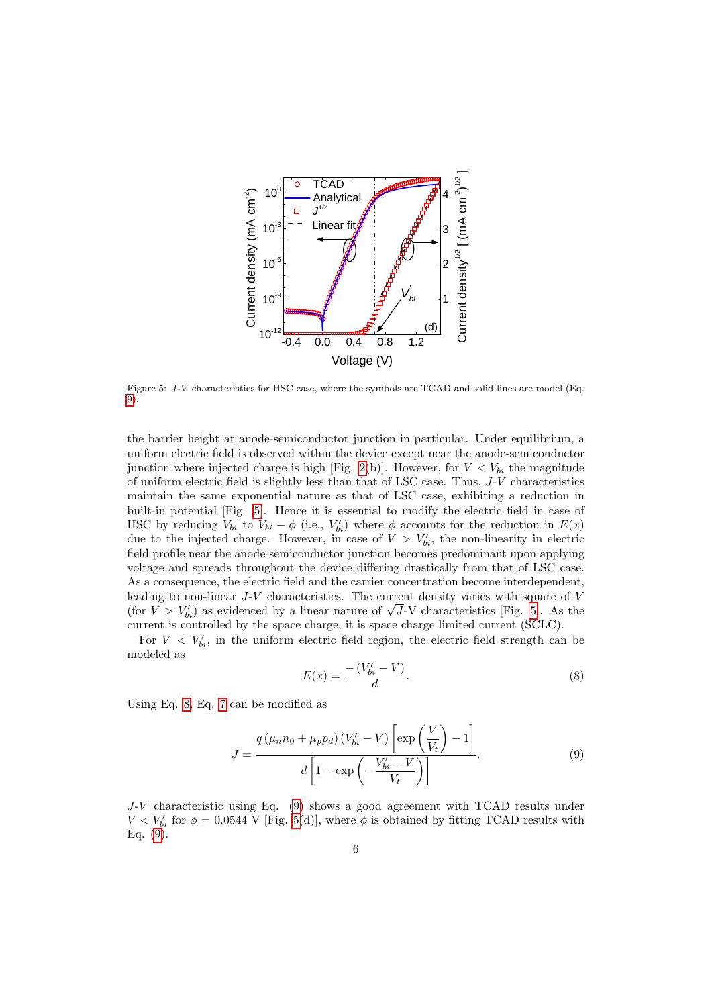

<span id="page-5-1"></span>Figure 5: J-V characteristics for HSC case, where the symbols are TCAD and solid lines are model (Eq. [9\)](#page-5-0).

the barrier height at anode-semiconductor junction in particular. Under equilibrium, a uniform electric field is observed within the device except near the anode-semiconductor junction where injected charge is high [Fig. [2\(](#page-2-0)b)]. However, for  $V < V_{bi}$  the magnitude of uniform electric field is slightly less than that of LSC case. Thus, J-V characteristics maintain the same exponential nature as that of LSC case, exhibiting a reduction in built-in potential [Fig. [5\]](#page-5-1). Hence it is essential to modify the electric field in case of HSC by reducing  $V_{bi}$  to  $V_{bi} - \phi$  (i.e.,  $V'_{bi}$ ) where  $\phi$  accounts for the reduction in  $E(x)$ due to the injected charge. However, in case of  $V > V'_{bi}$ , the non-linearity in electric field profile near the anode-semiconductor junction becomes predominant upon applying voltage and spreads throughout the device differing drastically from that of LSC case. As a consequence, the electric field and the carrier concentration become interdependent, leading to non-linear  $J-V$  characteristics. The current density varies with square of  $V$ eading to non-linear  $J-V$  characteristics. The current density varies with square of  $V$  (for  $V > V'_{bi}$ ) as evidenced by a linear nature of  $\sqrt{J-V}$  characteristics [Fig. [5\]](#page-5-1). As the current is controlled by the space charge, it is space charge limited current (SCLC).

For  $V \langle V'_{bi}, V'_{bi} \rangle$  in the uniform electric field region, the electric field strength can be modeled as

<span id="page-5-2"></span>
$$
E(x) = \frac{-\left(V'_{bi} - V\right)}{d}.\tag{8}
$$

Using Eq. [8,](#page-5-2) Eq. [7](#page-4-0) can be modified as

<span id="page-5-0"></span>
$$
J = \frac{q\left(\mu_n n_0 + \mu_p p_d\right) \left(V'_{bi} - V\right) \left[\exp\left(\frac{V}{V_t}\right) - 1\right]}{d\left[1 - \exp\left(-\frac{V'_{bi} - V}{V_t}\right)\right]}.
$$
\n(9)

J-V characteristic using Eq. [\(9\)](#page-5-0) shows a good agreement with TCAD results under  $V < V'_{bi}$  for  $\phi = 0.0544$  V [Fig. [5\(](#page-5-1)d)], where  $\phi$  is obtained by fitting TCAD results with Eq. [\(9\)](#page-5-0).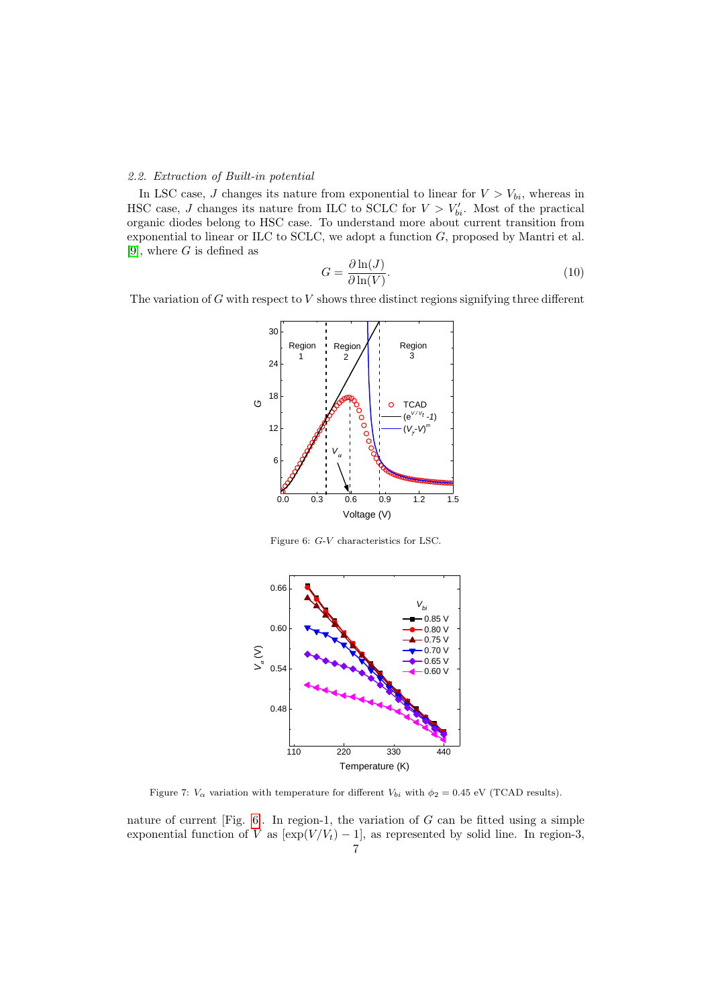# 2.2. Extraction of Built-in potential

In LSC case, J changes its nature from exponential to linear for  $V > V_{bi}$ , whereas in HSC case, J changes its nature from ILC to SCLC for  $V > V'_{bi}$ . Most of the practical organic diodes belong to HSC case. To understand more about current transition from exponential to linear or ILC to SCLC, we adopt a function G, proposed by Mantri et al. [\[9\]](#page-14-8), where  $G$  is defined as

<span id="page-6-2"></span>
$$
G = \frac{\partial \ln(J)}{\partial \ln(V)}.
$$
\n(10)

The variation of  $G$  with respect to  $V$  shows three distinct regions signifying three different



<span id="page-6-0"></span>Figure 6: G-V characteristics for LSC.



<span id="page-6-1"></span>Figure 7:  $V_{\alpha}$  variation with temperature for different  $V_{bi}$  with  $\phi_2 = 0.45$  eV (TCAD results).

nature of current [Fig. [6\]](#page-6-0). In region-1, the variation of  $G$  can be fitted using a simple exponential function of V as  $[\exp(V/V_t) - 1]$ , as represented by solid line. In region-3, 7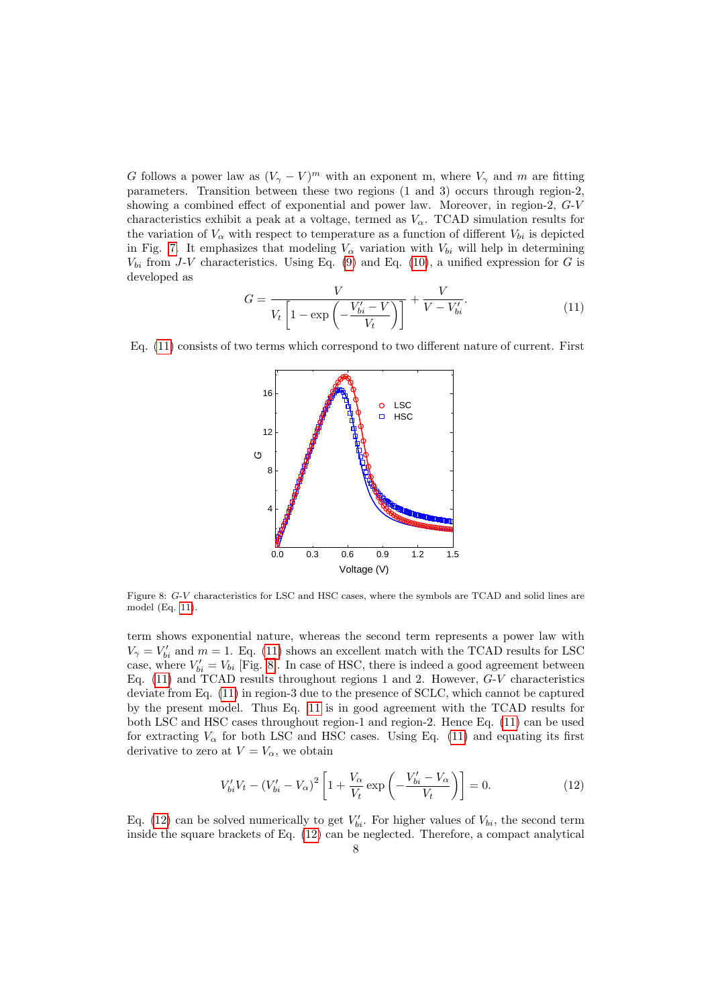G follows a power law as  $(V_\gamma - V)^m$  with an exponent m, where  $V_\gamma$  and m are fitting parameters. Transition between these two regions (1 and 3) occurs through region-2, showing a combined effect of exponential and power law. Moreover, in region-2, G-V characteristics exhibit a peak at a voltage, termed as  $V_{\alpha}$ . TCAD simulation results for the variation of  $V_{\alpha}$  with respect to temperature as a function of different  $V_{bi}$  is depicted in Fig. [7.](#page-6-1) It emphasizes that modeling  $V_{\alpha}$  variation with  $V_{bi}$  will help in determining  $V_{bi}$  from J-V characteristics. Using Eq. [\(9\)](#page-5-0) and Eq. [\(10\)](#page-6-2), a unified expression for G is developed as

<span id="page-7-0"></span>
$$
G = \frac{V}{V_t \left[1 - \exp\left(-\frac{V_{bi}' - V}{V_t}\right)\right]} + \frac{V}{V - V_{bi}'}.\tag{11}
$$

Eq. [\(11\)](#page-7-0) consists of two terms which correspond to two different nature of current. First



<span id="page-7-1"></span>Figure 8: G-V characteristics for LSC and HSC cases, where the symbols are TCAD and solid lines are model (Eq. [11\)](#page-7-0).

term shows exponential nature, whereas the second term represents a power law with  $V_{\gamma} = V'_{bi}$  and  $m = 1$ . Eq. [\(11\)](#page-7-0) shows an excellent match with the TCAD results for LSC case, where  $V'_{bi} = V_{bi}$  [Fig. [8\]](#page-7-1). In case of HSC, there is indeed a good agreement between Eq.  $(11)$  and TCAD results throughout regions 1 and 2. However,  $G-V$  characteristics deviate from Eq. [\(11\)](#page-7-0) in region-3 due to the presence of SCLC, which cannot be captured by the present model. Thus Eq. [11](#page-7-0) is in good agreement with the TCAD results for both LSC and HSC cases throughout region-1 and region-2. Hence Eq. [\(11\)](#page-7-0) can be used for extracting  $V_{\alpha}$  for both LSC and HSC cases. Using Eq. [\(11\)](#page-7-0) and equating its first derivative to zero at  $V = V_\alpha$ , we obtain

<span id="page-7-2"></span>
$$
V'_{bi}V_t - (V'_{bi} - V_{\alpha})^2 \left[ 1 + \frac{V_{\alpha}}{V_t} \exp\left(-\frac{V'_{bi} - V_{\alpha}}{V_t}\right) \right] = 0.
$$
 (12)

Eq. [\(12\)](#page-7-2) can be solved numerically to get  $V'_{bi}$ . For higher values of  $V_{bi}$ , the second term inside the square brackets of Eq. [\(12\)](#page-7-2) can be neglected. Therefore, a compact analytical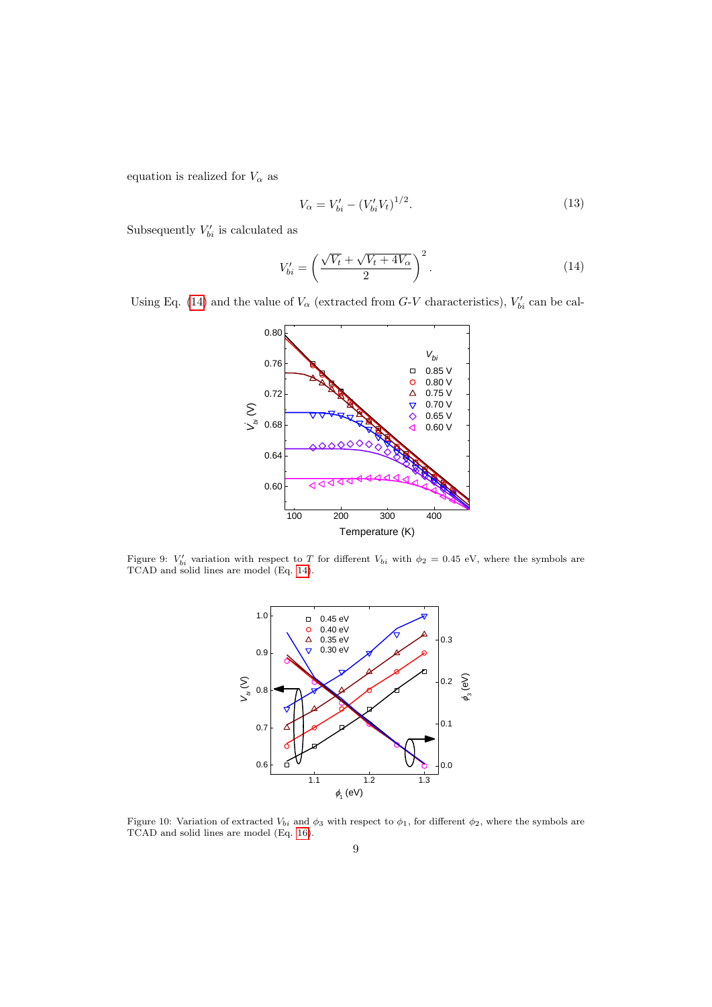equation is realized for  $V_{\alpha}$  as

$$
V_{\alpha} = V'_{bi} - (V'_{bi} V_t)^{1/2}.
$$
\n(13)

Subsequently  $V'_{bi}$  is calculated as

<span id="page-8-0"></span>
$$
V'_{bi} = \left(\frac{\sqrt{V_t} + \sqrt{V_t + 4V_\alpha}}{2}\right)^2.
$$
\n(14)

Using Eq. [\(14\)](#page-8-0) and the value of  $V_{\alpha}$  (extracted from G-V characteristics),  $V'_{bi}$  can be cal-



<span id="page-8-1"></span>Figure 9:  $V'_{bi}$  variation with respect to T for different  $V_{bi}$  with  $\phi_2 = 0.45$  eV, where the symbols are TCAD and solid lines are model (Eq. [14\)](#page-8-0).



<span id="page-8-2"></span>Figure 10: Variation of extracted  $V_{bi}$  and  $\phi_3$  with respect to  $\phi_1$ , for different  $\phi_2$ , where the symbols are TCAD and solid lines are model (Eq. [16\)](#page-9-0).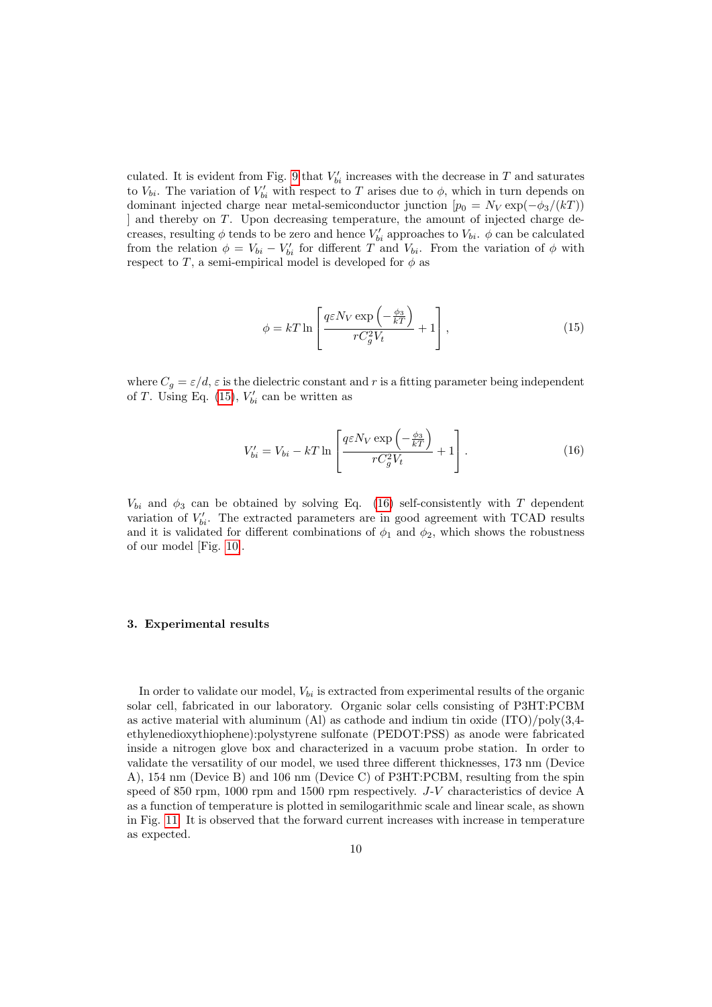culated. It is evident from Fig. [9](#page-8-1) that  $V'_{bi}$  increases with the decrease in T and saturates to  $V_{bi}$ . The variation of  $V'_{bi}$  with respect to T arises due to  $\phi$ , which in turn depends on dominant injected charge near metal-semiconductor junction  $[p_0 = N_V \exp(-\phi_3/(kT))]$ ] and thereby on T. Upon decreasing temperature, the amount of injected charge decreases, resulting  $\phi$  tends to be zero and hence  $V'_{bi}$  approaches to  $V_{bi}$ .  $\phi$  can be calculated from the relation  $\phi = V_{bi} - V'_{bi}$  for different T and  $V_{bi}$ . From the variation of  $\phi$  with respect to T, a semi-empirical model is developed for  $\phi$  as

<span id="page-9-1"></span>
$$
\phi = kT \ln \left[ \frac{q \varepsilon N_V \exp\left(-\frac{\phi_3}{kT}\right)}{r C_g^2 V_t} + 1 \right],\tag{15}
$$

where  $C_q = \varepsilon/d$ ,  $\varepsilon$  is the dielectric constant and r is a fitting parameter being independent of T. Using Eq. [\(15\)](#page-9-1),  $V'_{bi}$  can be written as

<span id="page-9-0"></span>
$$
V'_{bi} = V_{bi} - kT \ln \left[ \frac{q \varepsilon N_V \exp\left(-\frac{\phi_3}{kT}\right)}{r C_g^2 V_t} + 1 \right]. \tag{16}
$$

 $V_{bi}$  and  $\phi_3$  can be obtained by solving Eq. [\(16\)](#page-9-0) self-consistently with T dependent variation of  $V'_{bi}$ . The extracted parameters are in good agreement with TCAD results and it is validated for different combinations of  $\phi_1$  and  $\phi_2$ , which shows the robustness of our model [Fig. [10\]](#page-8-2).

# 3. Experimental results

In order to validate our model,  $V_{bi}$  is extracted from experimental results of the organic solar cell, fabricated in our laboratory. Organic solar cells consisting of P3HT:PCBM as active material with aluminum (Al) as cathode and indium tin oxide (ITO)/poly(3,4 ethylenedioxythiophene):polystyrene sulfonate (PEDOT:PSS) as anode were fabricated inside a nitrogen glove box and characterized in a vacuum probe station. In order to validate the versatility of our model, we used three different thicknesses, 173 nm (Device A), 154 nm (Device B) and 106 nm (Device C) of P3HT:PCBM, resulting from the spin speed of 850 rpm, 1000 rpm and 1500 rpm respectively. J-V characteristics of device A as a function of temperature is plotted in semilogarithmic scale and linear scale, as shown in Fig. [11.](#page-10-0) It is observed that the forward current increases with increase in temperature as expected.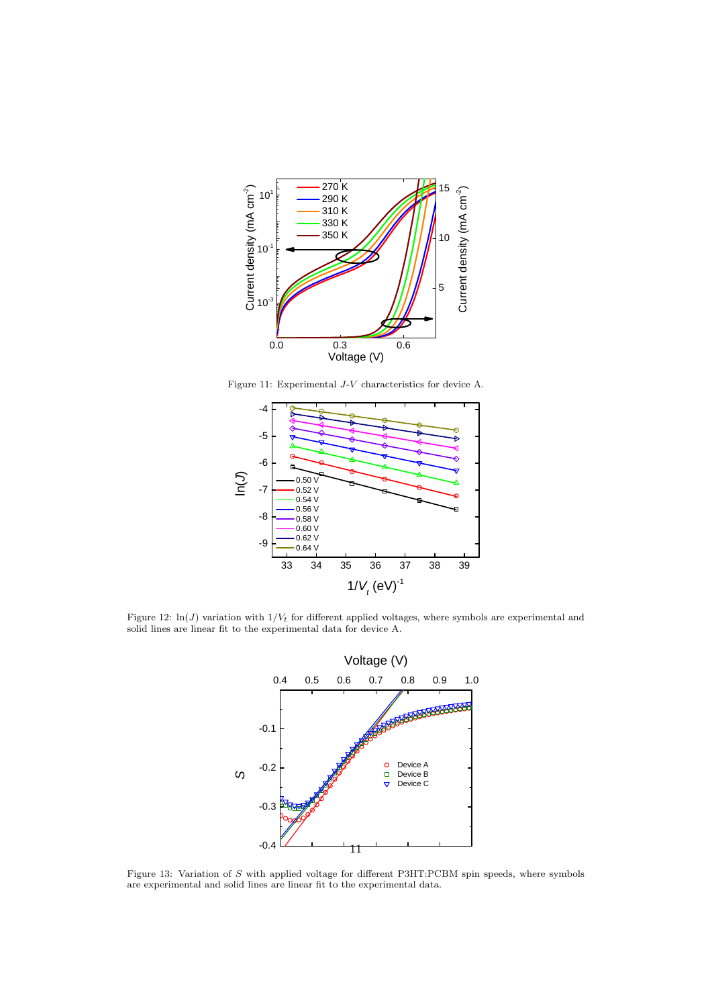

<span id="page-10-0"></span>Figure 11: Experimental J-V characteristics for device A.



<span id="page-10-1"></span>Figure 12:  $\ln(J)$  variation with  $1/V_t$  for different applied voltages, where symbols are experimental and solid lines are linear fit to the experimental data for device A.



<span id="page-10-2"></span>Figure 13: Variation of S with applied voltage for different P3HT:PCBM spin speeds, where symbols are experimental and solid lines are linear fit to the experimental data.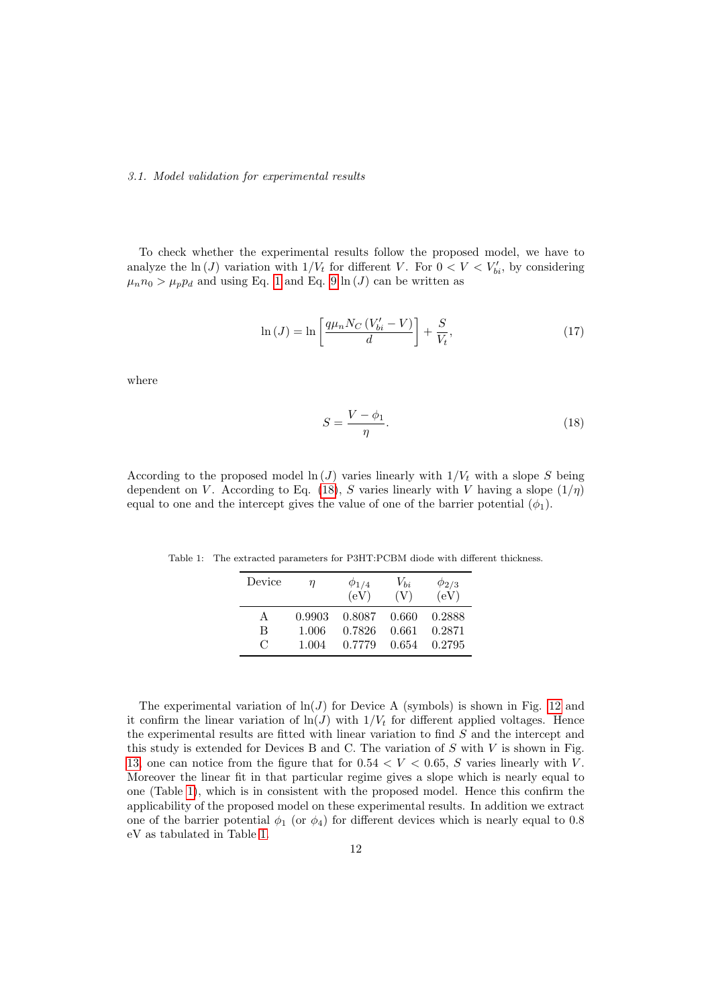#### 3.1. Model validation for experimental results

To check whether the experimental results follow the proposed model, we have to analyze the  $\ln(J)$  variation with  $1/V_t$  for different V. For  $0 < V < V'_{bi}$ , by considering  $\mu_n n_0 > \mu_p p_d$  and using Eq. [1](#page-1-1) and Eq. [9](#page-5-0) ln (*J*) can be written as

$$
\ln\left(J\right) = \ln\left[\frac{q\mu_n N_C \left(V_{bi}' - V\right)}{d}\right] + \frac{S}{V_t},\tag{17}
$$

where

<span id="page-11-0"></span>
$$
S = \frac{V - \phi_1}{\eta}.\tag{18}
$$

According to the proposed model  $\ln(J)$  varies linearly with  $1/V_t$  with a slope S being dependent on V. According to Eq. [\(18\)](#page-11-0), S varies linearly with V having a slope  $(1/\eta)$ equal to one and the intercept gives the value of one of the barrier potential  $(\phi_1)$ .

Table 1: The extracted parameters for P3HT:PCBM diode with different thickness.

<span id="page-11-1"></span>

| Device                      | η      | $\phi_{1/4}$<br>(eV) | $V_{bi}$<br>(V) | $\phi_{2/3}$<br>(eV) |
|-----------------------------|--------|----------------------|-----------------|----------------------|
| A                           | 0.9903 | 0.8087               | 0.660           | 0.2888               |
| B                           | 1.006  | 0.7826               | 0.661           | 0.2871               |
| $\mathcal{C}_{\mathcal{C}}$ | 1.004  | 0.7779               | 0.654           | 0.2795               |

The experimental variation of  $\ln(J)$  for Device A (symbols) is shown in Fig. [12](#page-10-1) and it confirm the linear variation of  $ln(J)$  with  $1/V_t$  for different applied voltages. Hence the experimental results are fitted with linear variation to find S and the intercept and this study is extended for Devices B and C. The variation of  $S$  with  $V$  is shown in Fig. [13,](#page-10-2) one can notice from the figure that for  $0.54 < V < 0.65$ , S varies linearly with V. Moreover the linear fit in that particular regime gives a slope which is nearly equal to one (Table [1\)](#page-11-1), which is in consistent with the proposed model. Hence this confirm the applicability of the proposed model on these experimental results. In addition we extract one of the barrier potential  $\phi_1$  (or  $\phi_4$ ) for different devices which is nearly equal to 0.8 eV as tabulated in Table [1.](#page-11-1)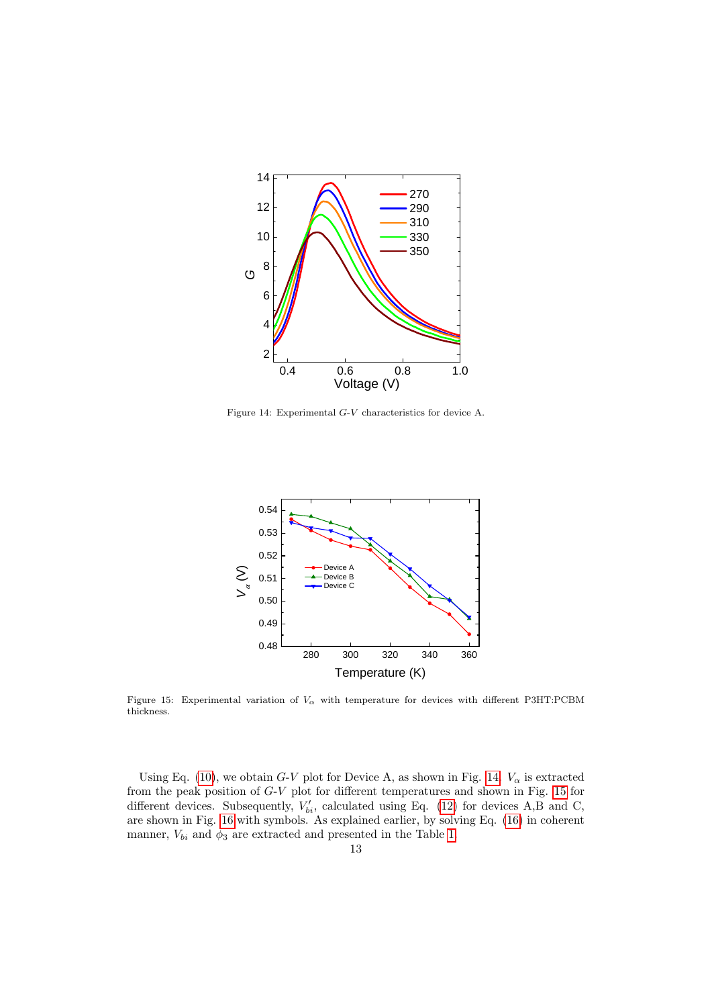

<span id="page-12-0"></span>Figure 14: Experimental G-V characteristics for device A.



<span id="page-12-1"></span>Figure 15: Experimental variation of  $V_\alpha$  with temperature for devices with different P3HT:PCBM thickness.

Using Eq. [\(10\)](#page-6-2), we obtain G-V plot for Device A, as shown in Fig. [14.](#page-12-0)  $V_{\alpha}$  is extracted from the peak position of G-V plot for different temperatures and shown in Fig. [15](#page-12-1) for different devices. Subsequently,  $V'_{bi}$ , calculated using Eq. [\(12\)](#page-7-2) for devices A,B and C, are shown in Fig. [16](#page-13-0) with symbols. As explained earlier, by solving Eq. [\(16\)](#page-9-0) in coherent manner,  $V_{bi}$  and  $\phi_3$  are extracted and presented in the Table [1.](#page-11-1)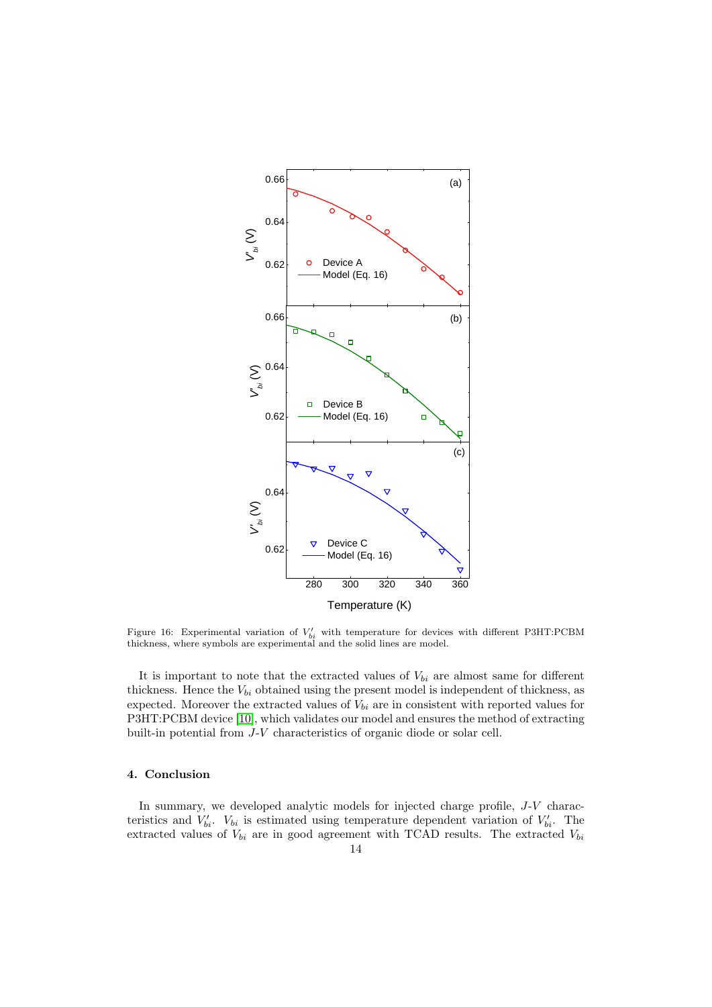

<span id="page-13-0"></span>Figure 16: Experimental variation of  $V'_{bi}$  with temperature for devices with different P3HT:PCBM thickness, where symbols are experimental and the solid lines are model.

It is important to note that the extracted values of  $V_{bi}$  are almost same for different thickness. Hence the  $V_{bi}$  obtained using the present model is independent of thickness, as expected. Moreover the extracted values of  $V_{bi}$  are in consistent with reported values for P3HT:PCBM device [\[10\]](#page-14-9), which validates our model and ensures the method of extracting built-in potential from J-V characteristics of organic diode or solar cell.

# 4. Conclusion

In summary, we developed analytic models for injected charge profile, J-V characteristics and  $V'_{bi}$ .  $V_{bi}$  is estimated using temperature dependent variation of  $V'_{bi}$ . The extracted values of  $V_{bi}$  are in good agreement with TCAD results. The extracted  $V_{bi}$